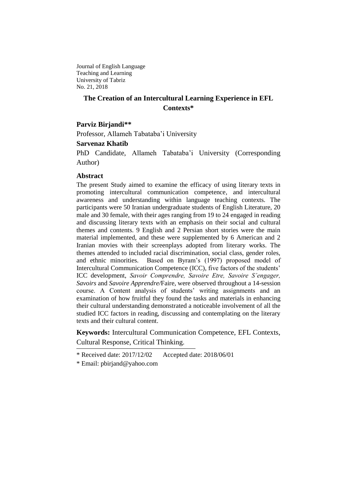Journal of English Language Teaching and Learning University of Tabriz No. 21, 2018

# **The Creation of an Intercultural Learning Experience in EFL Contexts\***

## **Parviz Birjandi\*\***

Professor, Allameh Tabataba'i University

## **Sarvenaz Khatib**

PhD Candidate, Allameh Tabataba'i University (Corresponding Author)

## **Abstract**

The present Study aimed to examine the efficacy of using literary texts in promoting intercultural communication competence, and intercultural awareness and understanding within language teaching contexts. The participants were 50 Iranian undergraduate students of English Literature, 20 male and 30 female, with their ages ranging from 19 to 24 engaged in reading and discussing literary texts with an emphasis on their social and cultural themes and contents. 9 English and 2 Persian short stories were the main material implemented, and these were supplemented by 6 American and 2 Iranian movies with their screenplays adopted from literary works. The themes attended to included racial discrimination, social class, gender roles, and ethnic minorities. Based on Byram's (1997) proposed model of Intercultural Communication Competence (ICC), five factors of the students' ICC development, *Savoir Comprendre, Savoire Etre, Savoire S'engager, Savoirs* and *Savoire Apprendre/*Faire, were observed throughout a 14-session course. A Content analysis of students' writing assignments and an examination of how fruitful they found the tasks and materials in enhancing their cultural understanding demonstrated a noticeable involvement of all the studied ICC factors in reading, discussing and contemplating on the literary texts and their cultural content.

**Keywords:** Intercultural Communication Competence, EFL Contexts, Cultural Response, Critical Thinking.

\* Received date: 2017/12/02 Accepted date: 2018/06/01

\* Email: [pbirjand@yahoo.com](mailto:pbirjand@yahoo.com)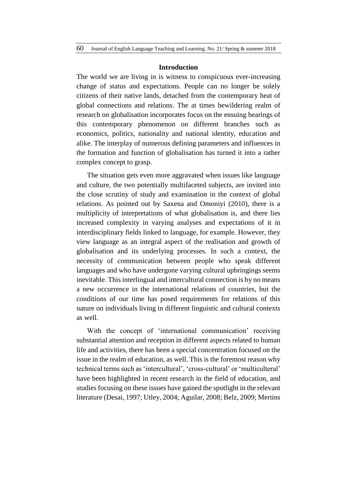#### **Introduction**

The world we are living in is witness to conspicuous ever-increasing change of status and expectations. People can no longer be solely citizens of their native lands, detached from the contemporary heat of global connections and relations. The at times bewildering realm of research on globalisation incorporates focus on the ensuing bearings of this contemporary phenomenon on different branches such as economics, politics, nationality and national identity, education and alike. The interplay of numerous defining parameters and influences in the formation and function of globalisation has turned it into a rather complex concept to grasp.

The situation gets even more aggravated when issues like language and culture, the two potentially multifaceted subjects, are invited into the close scrutiny of study and examination in the context of global relations. As pointed out by Saxena and Omoniyi (2010), there is a multiplicity of interpretations of what globalisation is, and there lies increased complexity in varying analyses and expectations of it in interdisciplinary fields linked to language, for example. However, they view language as an integral aspect of the realisation and growth of globalisation and its underlying processes. In such a context, the necessity of communication between people who speak different languages and who have undergone varying cultural upbringings seems inevitable. This interlingual and intercultural connection is by no means a new occurrence in the international relations of countries, but the conditions of our time has posed requirements for relations of this nature on individuals living in different linguistic and cultural contexts as well.

With the concept of 'international communication' receiving substantial attention and reception in different aspects related to human life and activities, there has been a special concentration focused on the issue in the realm of education, as well. This is the foremost reason why technical terms such as 'intercultural', 'cross-cultural' or 'multiculteral' have been highlighted in recent research in the field of education, and studies focusing on these issues have gained the spotlight in the relevant literature (Desai, 1997; Utley, 2004; Aguilar, 2008; Belz, 2009; Mertins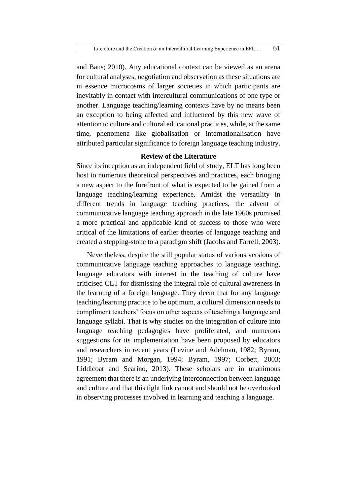and Baus; 2010). Any educational context can be viewed as an arena for cultural analyses, negotiation and observation as these situations are in essence microcosms of larger societies in which participants are inevitably in contact with intercultural communications of one type or another. Language teaching/learning contexts have by no means been an exception to being affected and influenced by this new wave of attention to culture and cultural educational practices, while, at the same time, phenomena like globalisation or internationalisation have attributed particular significance to foreign language teaching industry.

# **Review of the Literature**

Since its inception as an independent field of study, ELT has long been host to numerous theoretical perspectives and practices, each bringing a new aspect to the forefront of what is expected to be gained from a language teaching/learning experience. Amidst the versatility in different trends in language teaching practices, the advent of communicative language teaching approach in the late 1960s promised a more practical and applicable kind of success to those who were critical of the limitations of earlier theories of language teaching and created a stepping-stone to a paradigm shift (Jacobs and Farrell, 2003).

Nevertheless, despite the still popular status of various versions of communicative language teaching approaches to language teaching, language educators with interest in the teaching of culture have criticised CLT for dismissing the integral role of cultural awareness in the learning of a foreign language. They deem that for any language teaching/learning practice to be optimum, a cultural dimension needs to compliment teachers' focus on other aspects of teaching a language and language syllabi. That is why studies on the integration of culture into language teaching pedagogies have proliferated, and numerous suggestions for its implementation have been proposed by educators and researchers in recent years (Levine and Adelman, 1982; Byram, 1991; Byram and Morgan, 1994; Byram, 1997; Corbett, 2003; Liddicoat and Scarino, 2013). These scholars are in unanimous agreement that there is an underlying interconnection between language and culture and that this tight link cannot and should not be overlooked in observing processes involved in learning and teaching a language.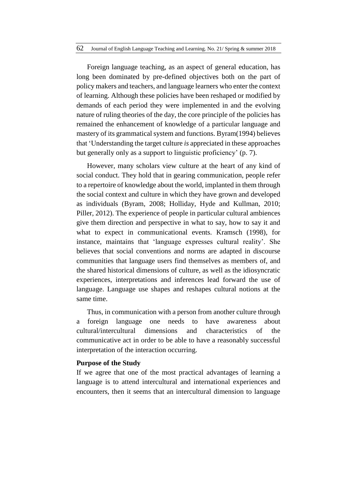Foreign language teaching, as an aspect of general education, has long been dominated by pre-defined objectives both on the part of policy makers and teachers, and language learners who enter the context of learning. Although these policies have been reshaped or modified by demands of each period they were implemented in and the evolving nature of ruling theories of the day, the core principle of the policies has remained the enhancement of knowledge of a particular language and mastery of its grammatical system and functions. Byram(1994) believes that 'Understanding the target culture *is* appreciated in these approaches but generally only as a support to linguistic proficiency' (p. 7).

However, many scholars view culture at the heart of any kind of social conduct. They hold that in gearing communication, people refer to a repertoire of knowledge about the world, implanted in them through the social context and culture in which they have grown and developed as individuals (Byram, 2008; Holliday, Hyde and Kullman, 2010; Piller, 2012). The experience of people in particular cultural ambiences give them direction and perspective in what to say, how to say it and what to expect in communicational events. Kramsch (1998), for instance, maintains that 'language expresses cultural reality'. She believes that social conventions and norms are adapted in discourse communities that language users find themselves as members of, and the shared historical dimensions of culture, as well as the idiosyncratic experiences, interpretations and inferences lead forward the use of language. Language use shapes and reshapes cultural notions at the same time.

Thus, in communication with a person from another culture through a foreign language one needs to have awareness about cultural/intercultural dimensions and characteristics of the communicative act in order to be able to have a reasonably successful interpretation of the interaction occurring.

## **Purpose of the Study**

If we agree that one of the most practical advantages of learning a language is to attend intercultural and international experiences and encounters, then it seems that an intercultural dimension to language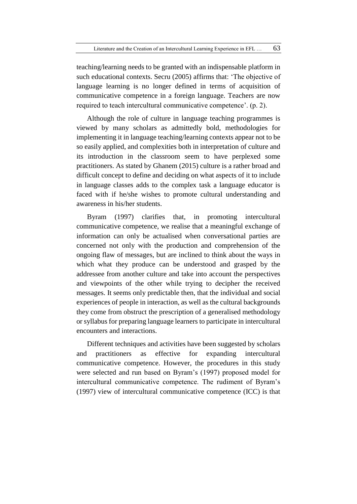teaching/learning needs to be granted with an indispensable platform in such educational contexts. Secru (2005) affirms that: 'The objective of language learning is no longer defined in terms of acquisition of communicative competence in a foreign language. Teachers are now required to teach intercultural communicative competence'. (p. 2).

Although the role of culture in language teaching programmes is viewed by many scholars as admittedly bold, methodologies for implementing it in language teaching/learning contexts appear not to be so easily applied, and complexities both in interpretation of culture and its introduction in the classroom seem to have perplexed some practitioners. As stated by Ghanem (2015) culture is a rather broad and difficult concept to define and deciding on what aspects of it to include in language classes adds to the complex task a language educator is faced with if he/she wishes to promote cultural understanding and awareness in his/her students.

Byram (1997) clarifies that, in promoting intercultural communicative competence, we realise that a meaningful exchange of information can only be actualised when conversational parties are concerned not only with the production and comprehension of the ongoing flaw of messages, but are inclined to think about the ways in which what they produce can be understood and grasped by the addressee from another culture and take into account the perspectives and viewpoints of the other while trying to decipher the received messages. It seems only predictable then, that the individual and social experiences of people in interaction, as well as the cultural backgrounds they come from obstruct the prescription of a generalised methodology or syllabus for preparing language learners to participate in intercultural encounters and interactions.

Different techniques and activities have been suggested by scholars and practitioners as effective for expanding intercultural communicative competence. However, the procedures in this study were selected and run based on Byram's (1997) proposed model for intercultural communicative competence. The rudiment of Byram's (1997) view of intercultural communicative competence (ICC) is that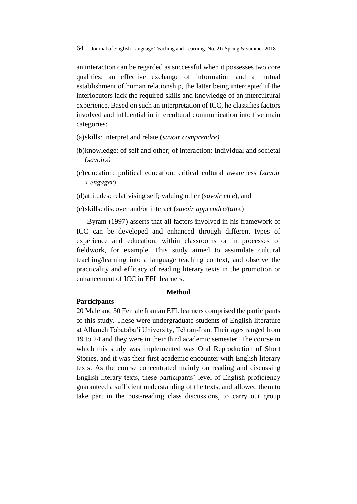an interaction can be regarded as successful when it possesses two core qualities: an effective exchange of information and a mutual establishment of human relationship, the latter being intercepted if the interlocutors lack the required skills and knowledge of an intercultural experience. Based on such an interpretation of ICC, he classifies factors involved and influential in intercultural communication into five main categories:

- (a)skills: interpret and relate (*savoir comprendre)*
- (b)knowledge: of self and other; of interaction: Individual and societal (*savoirs)*
- (c)education: political education; critical cultural awareness (*savoir s'engager*)
- (d)attitudes: relativising self; valuing other (*savoir etre*), and
- (e)skills: discover and/or interact (*savoir apprendre/faire*)

Byram (1997) asserts that all factors involved in his framework of ICC can be developed and enhanced through different types of experience and education, within classrooms or in processes of fieldwork, for example. This study aimed to assimilate cultural teaching/learning into a language teaching context, and observe the practicality and efficacy of reading literary texts in the promotion or enhancement of ICC in EFL learners.

## **Method**

## **Participants**

20 Male and 30 Female Iranian EFL learners comprised the participants of this study. These were undergraduate students of English literature at Allameh Tabataba'i University, Tehran-Iran. Their ages ranged from 19 to 24 and they were in their third academic semester. The course in which this study was implemented was Oral Reproduction of Short Stories, and it was their first academic encounter with English literary texts. As the course concentrated mainly on reading and discussing English literary texts, these participants' level of English proficiency guaranteed a sufficient understanding of the texts, and allowed them to take part in the post-reading class discussions, to carry out group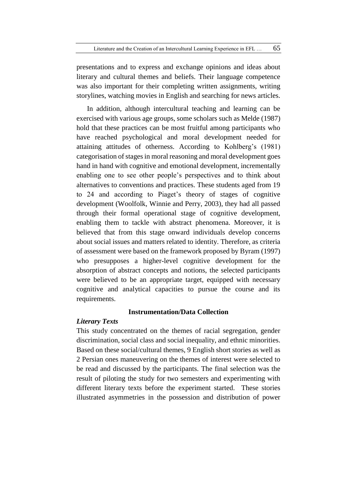presentations and to express and exchange opinions and ideas about literary and cultural themes and beliefs. Their language competence was also important for their completing written assignments, writing storylines, watching movies in English and searching for news articles.

In addition, although intercultural teaching and learning can be exercised with various age groups, some scholars such as Melde (1987) hold that these practices can be most fruitful among participants who have reached psychological and moral development needed for attaining attitudes of otherness. According to Kohlberg's (1981) categorisation of stages in moral reasoning and moral development goes hand in hand with cognitive and emotional development, incrementally enabling one to see other people's perspectives and to think about alternatives to conventions and practices. These students aged from 19 to 24 and according to Piaget's theory of stages of cognitive development (Woolfolk, Winnie and Perry, 2003), they had all passed through their formal operational stage of cognitive development, enabling them to tackle with abstract phenomena. Moreover, it is believed that from this stage onward individuals develop concerns about social issues and matters related to identity. Therefore, as criteria of assessment were based on the framework proposed by Byram (1997) who presupposes a higher-level cognitive development for the absorption of abstract concepts and notions, the selected participants were believed to be an appropriate target, equipped with necessary cognitive and analytical capacities to pursue the course and its requirements.

## **Instrumentation/Data Collection**

## *Literary Texts*

This study concentrated on the themes of racial segregation, gender discrimination, social class and social inequality, and ethnic minorities. Based on these social/cultural themes, 9 English short stories as well as 2 Persian ones maneuvering on the themes of interest were selected to be read and discussed by the participants. The final selection was the result of piloting the study for two semesters and experimenting with different literary texts before the experiment started. These stories illustrated asymmetries in the possession and distribution of power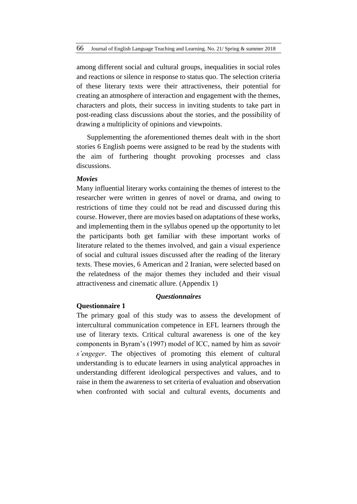among different social and cultural groups, inequalities in social roles and reactions or silence in response to status quo. The selection criteria of these literary texts were their attractiveness, their potential for creating an atmosphere of interaction and engagement with the themes, characters and plots, their success in inviting students to take part in post-reading class discussions about the stories, and the possibility of drawing a multiplicity of opinions and viewpoints.

Supplementing the aforementioned themes dealt with in the short stories 6 English poems were assigned to be read by the students with the aim of furthering thought provoking processes and class discussions.

#### *Movies*

Many influential literary works containing the themes of interest to the researcher were written in genres of novel or drama, and owing to restrictions of time they could not be read and discussed during this course. However, there are movies based on adaptations of these works, and implementing them in the syllabus opened up the opportunity to let the participants both get familiar with these important works of literature related to the themes involved, and gain a visual experience of social and cultural issues discussed after the reading of the literary texts. These movies, 6 American and 2 Iranian, were selected based on the relatedness of the major themes they included and their visual attractiveness and cinematic allure. (Appendix 1)

#### *Questionnaires*

## **Questionnaire 1**

The primary goal of this study was to assess the development of intercultural communication competence in EFL learners through the use of literary texts. Critical cultural awareness is one of the key components in Byram's (1997) model of ICC, named by him as *savoir s'engeger*. The objectives of promoting this element of cultural understanding is to educate learners in using analytical approaches in understanding different ideological perspectives and values, and to raise in them the awareness to set criteria of evaluation and observation when confronted with social and cultural events, documents and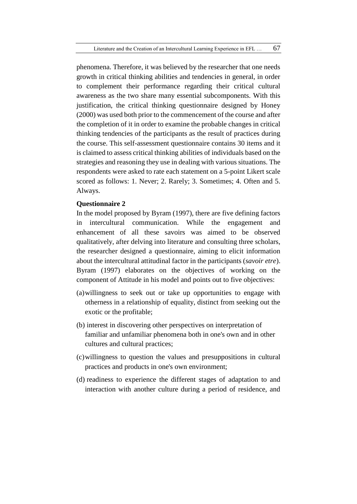phenomena. Therefore, it was believed by the researcher that one needs growth in critical thinking abilities and tendencies in general, in order to complement their performance regarding their critical cultural awareness as the two share many essential subcomponents. With this justification, the critical thinking questionnaire designed by Honey (2000) was used both prior to the commencement of the course and after the completion of it in order to examine the probable changes in critical thinking tendencies of the participants as the result of practices during the course. This self-assessment questionnaire contains 30 items and it is claimed to assess critical thinking abilities of individuals based on the strategies and reasoning they use in dealing with various situations. The respondents were asked to rate each statement on a 5-point Likert scale scored as follows: 1. Never; 2. Rarely; 3. Sometimes; 4. Often and 5. Always.

## **Questionnaire 2**

In the model proposed by Byram (1997), there are five defining factors in intercultural communication. While the engagement and enhancement of all these savoirs was aimed to be observed qualitatively, after delving into literature and consulting three scholars, the researcher designed a questionnaire, aiming to elicit information about the intercultural attitudinal factor in the participants (*savoir etre*). Byram (1997) elaborates on the objectives of working on the component of Attitude in his model and points out to five objectives:

- (a)willingness to seek out or take up opportunities to engage with otherness in a relationship of equality, distinct from seeking out the exotic or the profitable;
- (b) interest in discovering other perspectives on interpretation of familiar and unfamiliar phenomena both in one's own and in other cultures and cultural practices;
- (c)willingness to question the values and presuppositions in cultural practices and products in one's own environment;
- (d) readiness to experience the different stages of adaptation to and interaction with another culture during a period of residence, and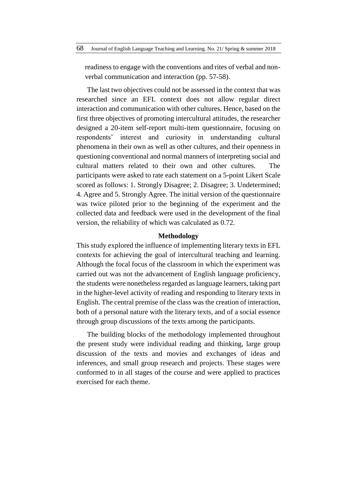readiness to engage with the conventions and rites of verbal and nonverbal communication and interaction (pp. 57-58).

The last two objectives could not be assessed in the context that was researched since an EFL context does not allow regular direct interaction and communication with other cultures. Hence, based on the first three objectives of promoting intercultural attitudes, the researcher designed a 20-item self-report multi-item questionnaire, focusing on respondents' interest and curiosity in understanding cultural phenomena in their own as well as other cultures, and their openness in questioning conventional and normal manners of interpreting social and cultural matters related to their own and other cultures. The participants were asked to rate each statement on a 5-point Likert Scale scored as follows: 1. Strongly Disagree; 2. Disagree; 3. Undetermined; 4. Agree and 5. Strongly Agree. The initial version of the questionnaire was twice piloted prior to the beginning of the experiment and the collected data and feedback were used in the development of the final version, the reliability of which was calculated as 0.72.

## **Methodology**

This study explored the influence of implementing literary texts in EFL contexts for achieving the goal of intercultural teaching and learning. Although the focal focus of the classroom in which the experiment was carried out was not the advancement of English language proficiency, the students were nonetheless regarded as language learners, taking part in the higher-level activity of reading and responding to literary texts in English. The central premise of the class was the creation of interaction, both of a personal nature with the literary texts, and of a social essence through group discussions of the texts among the participants.

The building blocks of the methodology implemented throughout the present study were individual reading and thinking, large group discussion of the texts and movies and exchanges of ideas and inferences, and small group research and projects. These stages were conformed to in all stages of the course and were applied to practices exercised for each theme.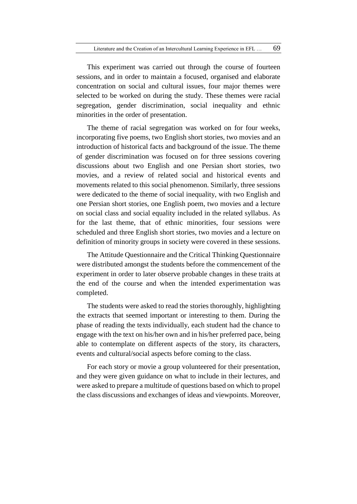This experiment was carried out through the course of fourteen sessions, and in order to maintain a focused, organised and elaborate concentration on social and cultural issues, four major themes were selected to be worked on during the study. These themes were racial segregation, gender discrimination, social inequality and ethnic minorities in the order of presentation.

The theme of racial segregation was worked on for four weeks, incorporating five poems, two English short stories, two movies and an introduction of historical facts and background of the issue. The theme of gender discrimination was focused on for three sessions covering discussions about two English and one Persian short stories, two movies, and a review of related social and historical events and movements related to this social phenomenon. Similarly, three sessions were dedicated to the theme of social inequality, with two English and one Persian short stories, one English poem, two movies and a lecture on social class and social equality included in the related syllabus. As for the last theme, that of ethnic minorities, four sessions were scheduled and three English short stories, two movies and a lecture on definition of minority groups in society were covered in these sessions.

The Attitude Questionnaire and the Critical Thinking Questionnaire were distributed amongst the students before the commencement of the experiment in order to later observe probable changes in these traits at the end of the course and when the intended experimentation was completed.

The students were asked to read the stories thoroughly, highlighting the extracts that seemed important or interesting to them. During the phase of reading the texts individually, each student had the chance to engage with the text on his/her own and in his/her preferred pace, being able to contemplate on different aspects of the story, its characters, events and cultural/social aspects before coming to the class.

For each story or movie a group volunteered for their presentation, and they were given guidance on what to include in their lectures, and were asked to prepare a multitude of questions based on which to propel the class discussions and exchanges of ideas and viewpoints. Moreover,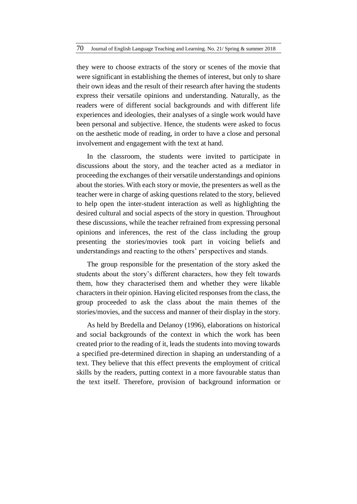they were to choose extracts of the story or scenes of the movie that were significant in establishing the themes of interest, but only to share their own ideas and the result of their research after having the students express their versatile opinions and understanding. Naturally, as the readers were of different social backgrounds and with different life experiences and ideologies, their analyses of a single work would have been personal and subjective. Hence, the students were asked to focus on the aesthetic mode of reading, in order to have a close and personal involvement and engagement with the text at hand.

In the classroom, the students were invited to participate in discussions about the story, and the teacher acted as a mediator in proceeding the exchanges of their versatile understandings and opinions about the stories. With each story or movie, the presenters as well as the teacher were in charge of asking questions related to the story, believed to help open the inter-student interaction as well as highlighting the desired cultural and social aspects of the story in question. Throughout these discussions, while the teacher refrained from expressing personal opinions and inferences, the rest of the class including the group presenting the stories/movies took part in voicing beliefs and understandings and reacting to the others' perspectives and stands.

The group responsible for the presentation of the story asked the students about the story's different characters, how they felt towards them, how they characterised them and whether they were likable characters in their opinion. Having elicited responses from the class, the group proceeded to ask the class about the main themes of the stories/movies, and the success and manner of their display in the story.

As held by Bredella and Delanoy (1996), elaborations on historical and social backgrounds of the context in which the work has been created prior to the reading of it, leads the students into moving towards a specified pre-determined direction in shaping an understanding of a text. They believe that this effect prevents the employment of critical skills by the readers, putting context in a more favourable status than the text itself. Therefore, provision of background information or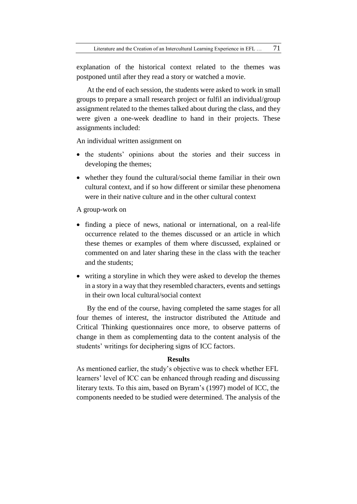explanation of the historical context related to the themes was postponed until after they read a story or watched a movie.

At the end of each session, the students were asked to work in small groups to prepare a small research project or fulfil an individual/group assignment related to the themes talked about during the class, and they were given a one-week deadline to hand in their projects. These assignments included:

An individual written assignment on

- the students' opinions about the stories and their success in developing the themes;
- whether they found the cultural/social theme familiar in their own cultural context, and if so how different or similar these phenomena were in their native culture and in the other cultural context

A group-work on

- finding a piece of news, national or international, on a real-life occurrence related to the themes discussed or an article in which these themes or examples of them where discussed, explained or commented on and later sharing these in the class with the teacher and the students;
- writing a storyline in which they were asked to develop the themes in a story in a way that they resembled characters, events and settings in their own local cultural/social context

By the end of the course, having completed the same stages for all four themes of interest, the instructor distributed the Attitude and Critical Thinking questionnaires once more, to observe patterns of change in them as complementing data to the content analysis of the students' writings for deciphering signs of ICC factors.

#### **Results**

As mentioned earlier, the study's objective was to check whether EFL learners' level of ICC can be enhanced through reading and discussing literary texts. To this aim, based on Byram's (1997) model of ICC, the components needed to be studied were determined. The analysis of the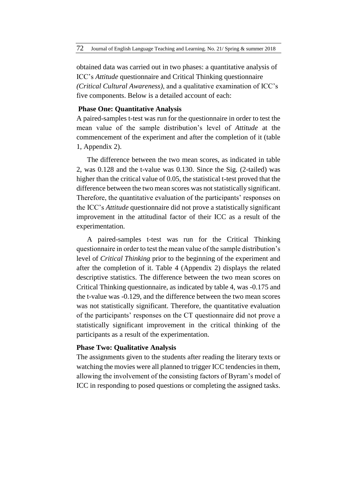obtained data was carried out in two phases: a quantitative analysis of ICC's *Attitude* questionnaire and Critical Thinking questionnaire *(Critical Cultural Awareness)*, and a qualitative examination of ICC's five components. Below is a detailed account of each:

## **Phase One: Quantitative Analysis**

A paired-samples t-test was run for the questionnaire in order to test the mean value of the sample distribution's level of *Attitude* at the commencement of the experiment and after the completion of it (table 1, Appendix 2).

The difference between the two mean scores, as indicated in table 2, was 0.128 and the t-value was 0.130. Since the Sig. (2-tailed) was higher than the critical value of 0.05, the statistical t-test proved that the difference between the two mean scores was not statistically significant. Therefore, the quantitative evaluation of the participants' responses on the ICC's *Attitude* questionnaire did not prove a statistically significant improvement in the attitudinal factor of their ICC as a result of the experimentation.

A paired-samples t-test was run for the Critical Thinking questionnaire in order to test the mean value of the sample distribution's level of *Critical Thinking* prior to the beginning of the experiment and after the completion of it. Table 4 (Appendix 2) displays the related descriptive statistics. The difference between the two mean scores on Critical Thinking questionnaire, as indicated by table 4, was -0.175 and the t-value was -0.129, and the difference between the two mean scores was not statistically significant. Therefore, the quantitative evaluation of the participants' responses on the CT questionnaire did not prove a statistically significant improvement in the critical thinking of the participants as a result of the experimentation.

# **Phase Two: Qualitative Analysis**

The assignments given to the students after reading the literary texts or watching the movies were all planned to trigger ICC tendencies in them, allowing the involvement of the consisting factors of Byram's model of ICC in responding to posed questions or completing the assigned tasks.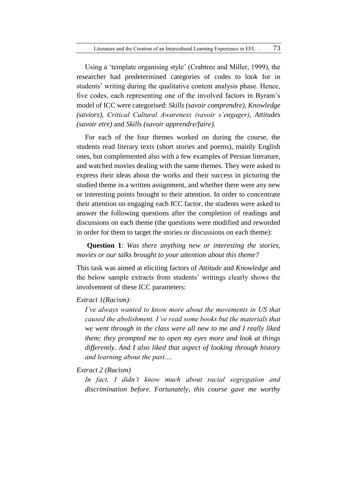Using a 'template organising style' (Crabtree and Miller, 1999), the researcher had predetermined categories of codes to look for in students' writing during the qualitative content analysis phase. Hence, five codes, each representing one of the involved factors in Byram's model of ICC were categorised: *Skills (savoir comprendre)*, *Knowledge (saviors)*, *Critical Cultural Awareness (savoir s'engager)*, *Attitudes (savoir etre)* and *Skills (savoir apprendre/faire)*.

For each of the four themes worked on during the course, the students read literary texts (short stories and poems), mainly English ones, but complemented also with a few examples of Persian literature, and watched movies dealing with the same themes. They were asked to express their ideas about the works and their success in picturing the studied theme in a written assignment, and whether there were any new or interesting points brought to their attention. In order to concentrate their attention on engaging each ICC factor, the students were asked to answer the following questions after the completion of readings and discussions on each theme (the questions were modified and reworded in order for them to target the stories or discussions on each theme):

**Question 1**: *Was there anything new or interesting the stories, movies or our talks brought to your attention about this theme?* 

This task was aimed at eliciting factors of *Attitude* and *Knowledge* and the below sample extracts from students' writings clearly shows the involvement of these ICC parameters:

## *Extract 1(Racism):*

*I've always wanted to know more about the movements in US that caused the abolishment. I've read some books but the materials that we went through in the class were all new to me and I really liked them; they prompted me to open my eyes more and look at things differently. And I also liked that aspect of looking through history and learning about the past….* 

*Extract 2 (Racism)*

*In fact, I didn't know much about racial segregation and discrimination before. Fortunately, this course gave me worthy*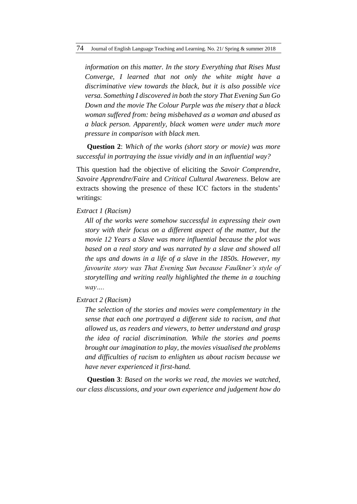*information on this matter. In the story Everything that Rises Must Converge, I learned that not only the white might have a discriminative view towards the black, but it is also possible vice versa. Something I discovered in both the story That Evening Sun Go Down and the movie The Colour Purple was the misery that a black woman suffered from: being misbehaved as a woman and abused as a black person. Apparently, black women were under much more pressure in comparison with black men.*

**Question 2**: *Which of the works (short story or movie) was more successful in portraying the issue vividly and in an influential way?*

This question had the objective of eliciting the *Savoir Comprendre*, *Savoire Apprendre/Faire* and *Critical Cultural Awareness*. Below are extracts showing the presence of these ICC factors in the students' writings:

*Extract 1 (Racism)*

*All of the works were somehow successful in expressing their own story with their focus on a different aspect of the matter, but the movie 12 Years a Slave was more influential because the plot was based on a real story and was narrated by a slave and showed all the ups and downs in a life of a slave in the 1850s. However, my favourite story was That Evening Sun because Faulkner's style of storytelling and writing really highlighted the theme in a touching way….*

*Extract 2 (Racism)*

*The selection of the stories and movies were complementary in the sense that each one portrayed a different side to racism, and that allowed us, as readers and viewers, to better understand and grasp the idea of racial discrimination. While the stories and poems brought our imagination to play, the movies visualised the problems and difficulties of racism to enlighten us about racism because we have never experienced it first-hand.* 

**Question 3**: *Based on the works we read, the movies we watched, our class discussions, and your own experience and judgement how do*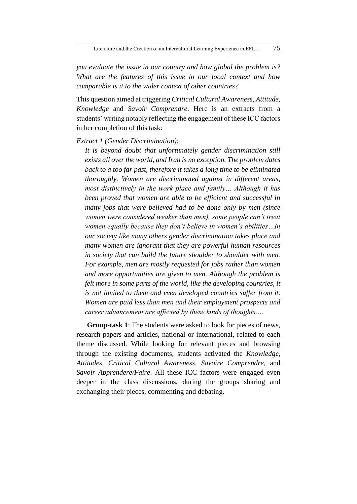*you evaluate the issue in our country and how global the problem is? What are the features of this issue in our local context and how comparable is it to the wider context of other countries?*

This question aimed at triggering *Critical Cultural Awareness, Attitude, Knowledge* and *Savoir Comprendre*. Here is an extracts from a students' writing notably reflecting the engagement of these ICC factors in her completion of this task:

## *Extract 1 (Gender Discrimination):*

*It is beyond doubt that unfortunately gender discrimination still exists all over the world, and Iran is no exception. The problem dates back to a too far past, therefore it takes a long time to be eliminated thoroughly. Women are discriminated against in different areas, most distinctively in the work place and family… Although it has been proved that women are able to be efficient and successful in many jobs that were believed had to be done only by men (since women were considered weaker than men), some people can't treat women equally because they don't believe in women's abilities…In our society like many others gender discrimination takes place and many women are ignorant that they are powerful human resources in society that can build the future shoulder to shoulder with men. For example, men are mostly requested for jobs rather than women and more opportunities are given to men. Although the problem is felt more in some parts of the world, like the developing countries, it is not limited to them and even developed countries suffer from it. Women are paid less than men and their employment prospects and career advancement are affected by these kinds of thoughts….* 

**Group-task 1**: The students were asked to look for pieces of news, research papers and articles, national or international, related to each theme discussed. While looking for relevant pieces and browsing through the existing documents, students activated the *Knowledge*, *Attitudes, Critical Cultural Awareness, Savoire Comprendre,* and *Savoir Apprendere/Faire*. All these ICC factors were engaged even deeper in the class discussions, during the groups sharing and exchanging their pieces, commenting and debating.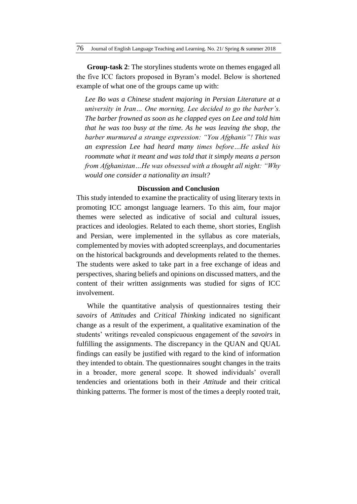**Group-task 2**: The storylines students wrote on themes engaged all the five ICC factors proposed in Byram's model. Below is shortened example of what one of the groups came up with:

*Lee Bo was a Chinese student majoring in Persian Literature at a university in Iran… One morning, Lee decided to go the barber's. The barber frowned as soon as he clapped eyes on Lee and told him that he was too busy at the time. As he was leaving the shop, the barber murmured a strange expression: "You Afghanis"! This was an expression Lee had heard many times before…He asked his roommate what it meant and was told that it simply means a person from Afghanistan…He was obsessed with a thought all night: "Why would one consider a nationality an insult?*

### **Discussion and Conclusion**

This study intended to examine the practicality of using literary texts in promoting ICC amongst language learners. To this aim, four major themes were selected as indicative of social and cultural issues, practices and ideologies. Related to each theme, short stories, English and Persian, were implemented in the syllabus as core materials, complemented by movies with adopted screenplays, and documentaries on the historical backgrounds and developments related to the themes. The students were asked to take part in a free exchange of ideas and perspectives, sharing beliefs and opinions on discussed matters, and the content of their written assignments was studied for signs of ICC involvement.

While the quantitative analysis of questionnaires testing their *savoirs* of *Attitudes* and *Critical Thinking* indicated no significant change as a result of the experiment, a qualitative examination of the students' writings revealed conspicuous engagement of the *savoirs* in fulfilling the assignments. The discrepancy in the QUAN and QUAL findings can easily be justified with regard to the kind of information they intended to obtain. The questionnaires sought changes in the traits in a broader, more general scope. It showed individuals' overall tendencies and orientations both in their *Attitude* and their critical thinking patterns. The former is most of the times a deeply rooted trait,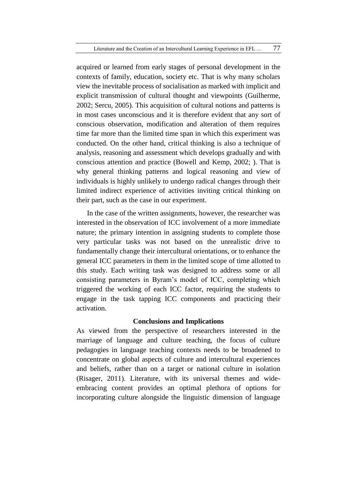acquired or learned from early stages of personal development in the contexts of family, education, society etc. That is why many scholars view the inevitable process of socialisation as marked with implicit and explicit transmission of cultural thought and viewpoints (Guilherme, 2002; Sercu, 2005). This acquisition of cultural notions and patterns is in most cases unconscious and it is therefore evident that any sort of conscious observation, modification and alteration of them requires time far more than the limited time span in which this experiment was conducted. On the other hand, critical thinking is also a technique of analysis, reasoning and assessment which develops gradually and with conscious attention and practice (Bowell and Kemp, 2002; ). That is why general thinking patterns and logical reasoning and view of individuals is highly unlikely to undergo radical changes through their limited indirect experience of activities inviting critical thinking on their part, such as the case in our experiment.

In the case of the written assignments, however, the researcher was interested in the observation of ICC involvement of a more immediate nature; the primary intention in assigning students to complete those very particular tasks was not based on the unrealistic drive to fundamentally change their intercultural orientations, or to enhance the general ICC parameters in them in the limited scope of time allotted to this study. Each writing task was designed to address some or all consisting parameters in Byram's model of ICC, completing which triggered the working of each ICC factor, requiring the students to engage in the task tapping ICC components and practicing their activation.

## **Conclusions and Implications**

As viewed from the perspective of researchers interested in the marriage of language and culture teaching, the focus of culture pedagogies in language teaching contexts needs to be broadened to concentrate on global aspects of culture and intercultural experiences and beliefs, rather than on a target or national culture in isolation (Risager, 2011). Literature, with its universal themes and wideembracing content provides an optimal plethora of options for incorporating culture alongside the linguistic dimension of language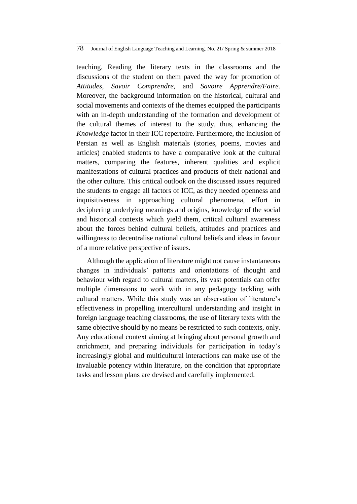teaching. Reading the literary texts in the classrooms and the discussions of the student on them paved the way for promotion of *Attitudes*, *Savoir Comprendre*, and *Savoire Apprendre/Faire.*  Moreover, the background information on the historical, cultural and social movements and contexts of the themes equipped the participants with an in-depth understanding of the formation and development of the cultural themes of interest to the study, thus, enhancing the *Knowledge* factor in their ICC repertoire. Furthermore, the inclusion of Persian as well as English materials (stories, poems, movies and articles) enabled students to have a comparative look at the cultural matters, comparing the features, inherent qualities and explicit manifestations of cultural practices and products of their national and the other culture. This critical outlook on the discussed issues required the students to engage all factors of ICC, as they needed openness and inquisitiveness in approaching cultural phenomena, effort in deciphering underlying meanings and origins, knowledge of the social and historical contexts which yield them, critical cultural awareness about the forces behind cultural beliefs, attitudes and practices and willingness to decentralise national cultural beliefs and ideas in favour of a more relative perspective of issues.

Although the application of literature might not cause instantaneous changes in individuals' patterns and orientations of thought and behaviour with regard to cultural matters, its vast potentials can offer multiple dimensions to work with in any pedagogy tackling with cultural matters. While this study was an observation of literature's effectiveness in propelling intercultural understanding and insight in foreign language teaching classrooms, the use of literary texts with the same objective should by no means be restricted to such contexts, only. Any educational context aiming at bringing about personal growth and enrichment, and preparing individuals for participation in today's increasingly global and multicultural interactions can make use of the invaluable potency within literature, on the condition that appropriate tasks and lesson plans are devised and carefully implemented.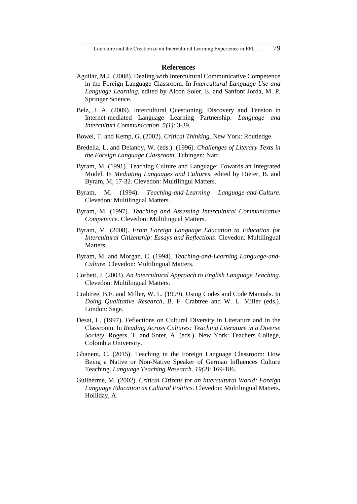#### **References**

- Aguilar, M.J. (2008). Dealing with Intercultural Communicative Competence in the Foreign Language Classroom. In *Intercultural Language Use and Language Learning,* edited by Alcon Soler, E. and Sanfont Jorda, M. P. Springer Science.
- Belz, J. A. (2009). Intercultural Questioning, Discovery and Tension in Internet-mediated Language Learning Partnership. *Language and Interculturl Communication*. *5(1)*: 3-39.
- Bowel, T. and Kemp, G. (2002). *Critical Thinking*. New York: Routledge.
- Bredella, L. and Delanoy, W. (eds.). (1996). *Challenges of Literary Texts in the Foreign Language Classroom.* Tubingen: Narr.
- Byram, M. (1991). Teaching Culture and Language: Towards an Integrated Model. In *Mediating Languages and Cultures,* edited by Dieter, B. and Byram, M, 17-32. Clevedon: Multilingul Matters.
- Byram, M. (1994). *Teaching-and-Learning Language-and-Culture*. Clevedon: Multilingual Matters.
- Byram, M. (1997). *Teaching and Assessing Intercultural Communicative Competence*. Clevedon: Multilingual Matters.
- Byram, M. (2008). *From Foreign Language Education to Education for Intercultural Citizenship: Essays and Reflections*. Clevedon: Multilingual Matters.
- Byram, M. and Morgan, C. (1994). *Teaching-and-Learning Language-and-Culture*. Clevedon: Multilingual Matters.
- Corbett, J. (2003). *An Intercultural Approach to English Language Teaching*. Clevedon: Multilingual Matters.
- Crabtree, B.F. and Miller, W. L. (1999). Using Codes and Code Manuals. In *Doing Qualitative Research,* B. F. Crabtree and W. L. Miller (eds.). London: Sage.
- Desai, L. (1997). Feflections on Cultural Diversity in Literature and in the Classroom. In *Reading Across Cultures: Teaching Literature in a Diverse Society,* Rogers, T. and Soter, A. (eds.). New York: Teachers College, Colombia University.
- Ghanem, C. (2015). Teaching in the Foreign Language Classroom: How Being a Native or Non-Native Speaker of German Influences Culture Teaching. *Language Teaching Research*. *19(2)*: 169-186.
- Guilherme, M. (2002). *Critical Citizens for an Intercultural World: Foreign Language Education as Cultural Politics*. Clevedon: Multilingual Matters. Holliday, A.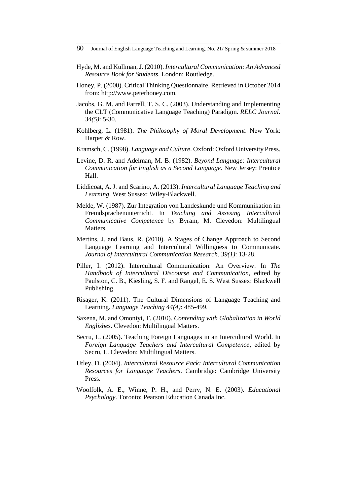- Hyde, M. and Kullman, J. (2010). *Intercultural Communication: An Advanced Resource Book for Students*. London: Routledge.
- Honey, P. (2000). Critical Thinking Questionnaire. Retrieved in October 2014 from: [http://www.peterhoney.com.](http://www.peterhoney.com/)
- Jacobs, G. M. and Farrell, T. S. C. (2003). Understanding and Implementing the CLT (Communicative Language Teaching) Paradigm. *RELC Journal*. *34(5)*: 5-30.
- Kohlberg, L. (1981). *The Philosophy of Moral Development*. New York: Harper & Row.
- Kramsch, C. (1998). *Language and Culture*. Oxford: Oxford University Press.
- Levine, D. R. and Adelman, M. B. (1982). *Beyond Language: Intercultural Communication for English as a Second Language*. New Jersey: Prentice Hall.
- Liddicoat, A. J. and Scarino, A. (2013). *Intercultural Language Teaching and Learning*. West Sussex: Wiley-Blackwell.
- Melde, W. (1987). Zur Integration von Landeskunde und Kommunikation im Fremdsprachenunterricht. In *Teaching and Assesing Intercultural Communicative Competence* by Byram, M. Clevedon: Multilingual Matters.
- Mertins, J. and Baus, R. (2010). A Stages of Change Approach to Second Language Learning and Intercultural Willingness to Communicate. *Journal of Intercultural Communication Research*. *39(1)*: 13-28.
- Piller, I. (2012). Intercultural Communication: An Overview. In *The Handbook of Intercultural Discourse and Communication*, edited by Paulston, C. B., Kiesling, S. F. and Rangel, E. S. West Sussex: Blackwell Publishing.
- Risager, K. (2011). The Cultural Dimensions of Language Teaching and Learning. *Language Teaching 44(4)*: 485-499.
- Saxena, M. and Omoniyi, T. (2010). *Contending with Globalization in World Englishes*. Clevedon: Multilingual Matters.
- Secru, L. (2005). Teaching Foreign Languages in an Intercultural World. In *Foreign Language Teachers and Intercultural Competence*, edited by Secru, L. Clevedon: Multilingual Matters.
- Utley, D. (2004). *Intercultural Resource Pack: Intercultural Communication Resources for Language Teachers*. Cambridge: Cambridge University Press.
- Woolfolk, A. E., Winne, P. H., and Perry, N. E. (2003). *Educational Psychology*. Toronto: Pearson Education Canada Inc.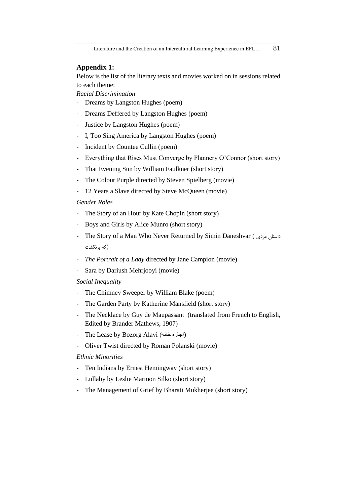#### **Appendix 1:**

Below is the list of the literary texts and movies worked on in sessions related to each theme:

*Racial Discrimination*

- Dreams by Langston Hughes (poem)
- Dreams Deffered by Langston Hughes (poem)
- Justice by Langston Hughes (poem)
- I, Too Sing America by Langston Hughes (poem)
- Incident by Countee Cullin (poem)
- Everything that Rises Must Converge by Flannery O'Connor (short story)
- That Evening Sun by William Faulkner (short story)
- The Colour Purple directed by Steven Spielberg (movie)
- 12 Years a Slave directed by Steve McQueen (movie)

#### *Gender Roles*

- The Story of an Hour by Kate Chopin (short story)
- Boys and Girls by Alice Munro (short story)
- The Story of a Man Who Never Returned by Simin Daneshvar ( مردی داستان (که برنگشت
- *The Portrait of a Lady* directed by Jane Campion (movie)
- Sara by Dariush Mehrjooyi (movie)

## *Social Inequality*

- The Chimney Sweeper by William Blake (poem)
- The Garden Party by Katherine Mansfield (short story)
- The Necklace by Guy de Maupassant (translated from French to English, Edited by Brander Mathews, 1907)
- The Lease by Bozorg Alavi (اجاره خانه)
- Oliver Twist directed by Roman Polanski (movie)

## *Ethnic Minorities*

- Ten Indians by Ernest Hemingway (short story)
- Lullaby by Leslie Marmon Silko (short story)
- The Management of Grief by Bharati Mukherjee (short story)